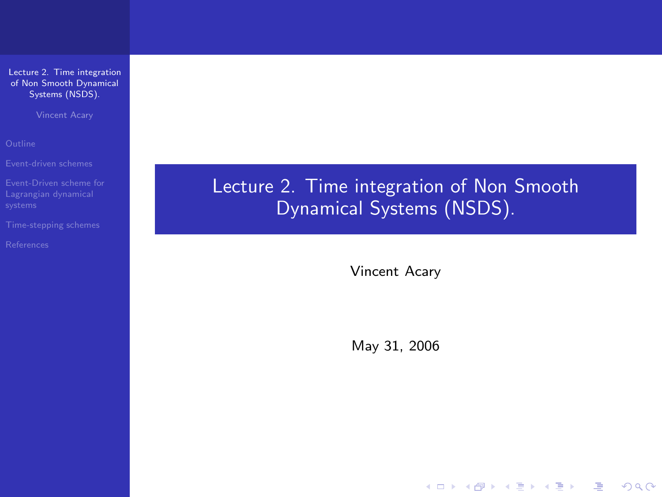Vincent Acary

<span id="page-0-0"></span>

Lecture 2. Time integration of Non Smooth Dynamical Systems (NSDS).

Vincent Acary

May 31, 2006

**YO A REPART ARM ANY**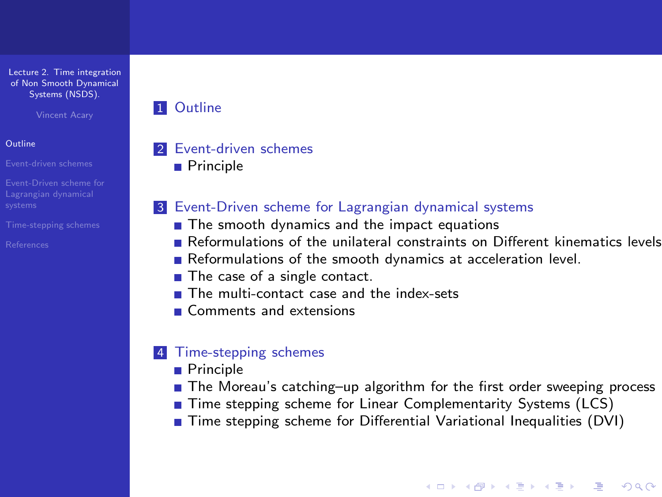Vincent Acary

#### **[Outline](#page-1-0)**

[Event-driven schemes](#page-2-0)

- [Event-Driven scheme for](#page-3-0)
- 
- <span id="page-1-0"></span>[References](#page-46-0)

### **1** [Outline](#page-1-0)

### 2 [Event-driven schemes](#page-2-0)

**[Principle](#page-2-0)** 

### 3 [Event-Driven scheme for Lagrangian dynamical systems](#page-3-0)

- $\blacksquare$  [The smooth dynamics and the impact equations](#page-3-0)
- [Reformulations of the unilateral constraints on Different kinematics levels](#page-5-0)
- [Reformulations of the smooth dynamics at acceleration level.](#page-10-0)
- [The case of a single contact.](#page-12-0)
- **[The multi-contact case and the index-sets](#page-19-0)**
- [Comments and extensions](#page-24-0)

## 4 [Time-stepping schemes](#page-26-0)

- **[Principle](#page-26-0)**
- [The Moreau's catching–up algorithm for the first order sweeping process](#page-27-0)

**YO A REAR SHOP A BY A GAR** 

- [Time stepping scheme for Linear Complementarity Systems \(LCS\)](#page-32-0)
- [Time stepping scheme for Differential Variational Inequalities \(DVI\)](#page-36-0)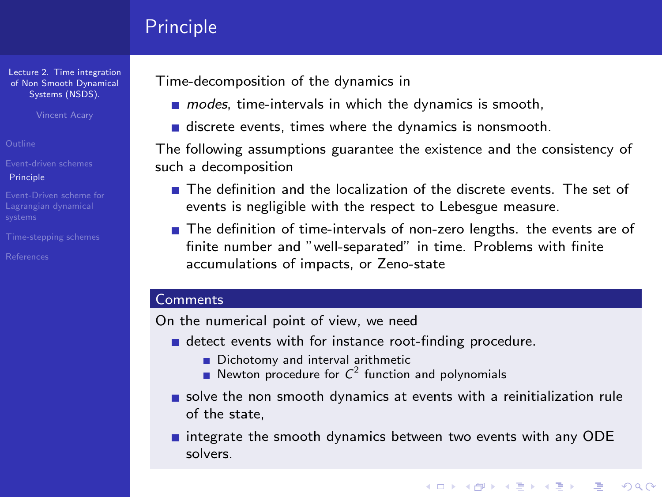# Principle

[Lecture 2. Time integration](#page-0-0) of Non Smooth Dynamical Systems (NSDS).

Vincent Acary

[Event-driven schemes](#page-2-0) [Principle](#page-2-0)

[Event-Driven scheme for](#page-3-0)

<span id="page-2-0"></span>

Time-decomposition of the dynamics in

- $m$  modes, time-intervals in which the dynamics is smooth,
- discrete events, times where the dynamics is nonsmooth.

The following assumptions guarantee the existence and the consistency of such a decomposition

- **The definition and the localization of the discrete events. The set of** events is negligible with the respect to Lebesgue measure.
- The definition of time-intervals of non-zero lengths, the events are of finite number and "well-separated" in time. Problems with finite accumulations of impacts, or Zeno-state

#### **Comments**

On the numerical point of view, we need

- detect events with for instance root-finding procedure.
	- Dichotomy and interval arithmetic
	- Newton procedure for  $C^2$  function and polynomials
- solve the non smooth dynamics at events with a reinitialization rule of the state,
- $\blacksquare$  integrate the smooth dynamics between two events with any ODE solvers.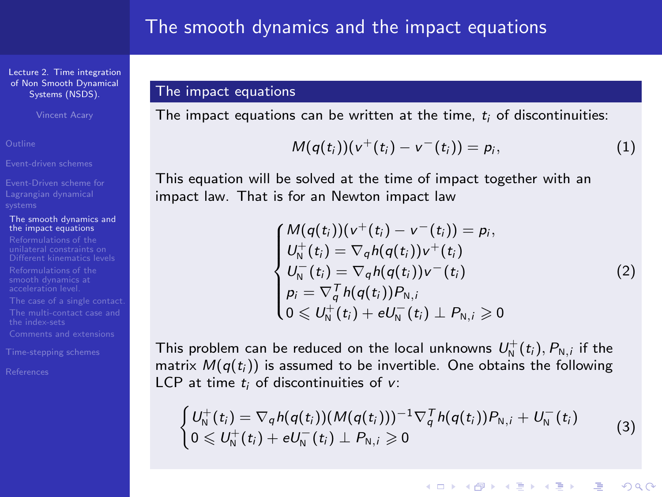Vincent Acary

[Event-driven schemes](#page-2-0)

[Event-Driven scheme for](#page-3-0)

#### [The smooth dynamics and](#page-4-0) the impact equations

<span id="page-3-1"></span><span id="page-3-0"></span>

### The impact equations

The impact equations can be written at the time,  $t_i$  of discontinuities:

$$
M(q(t_i))(v^+(t_i)-v^-(t_i))=p_i,
$$
\n(1)

This equation will be solved at the time of impact together with an impact law. That is for an Newton impact law

$$
\begin{cases}\nM(q(t_i))(v^+(t_i) - v^-(t_i)) = p_i, \\
U_N^+(t_i) = \nabla_q h(q(t_i))v^+(t_i) \\
U_N^-(t_i) = \nabla_q h(q(t_i))v^-(t_i) \\
p_i = \nabla_q^T h(q(t_i))P_{N,i} \\
0 \leq U_N^+(t_i) + eU_N^-(t_i) \perp P_{N,i} \geq 0\n\end{cases}
$$
\n(2)

**YO A REAGE YOU ARE YOUR** 

This problem can be reduced on the local unknowns  $U^+_{{\sf{N}}}(t_i), P_{{\sf{N}},i}$  if the matrix  $M(q(t_i))$  is assumed to be invertible. One obtains the following LCP at time  $t_i$  of discontinuities of  $v$ :

$$
\begin{cases}\nU_{\rm N}^+(t_i) = \nabla_q h(q(t_i)) (M(q(t_i)))^{-1} \nabla_q^T h(q(t_i)) P_{\rm N,i} + U_{\rm N}^-(t_i) \\
0 \leq U_{\rm N}^+(t_i) + e U_{\rm N}^-(t_i) \perp P_{\rm N,i} \geq 0\n\end{cases}
$$
\n(3)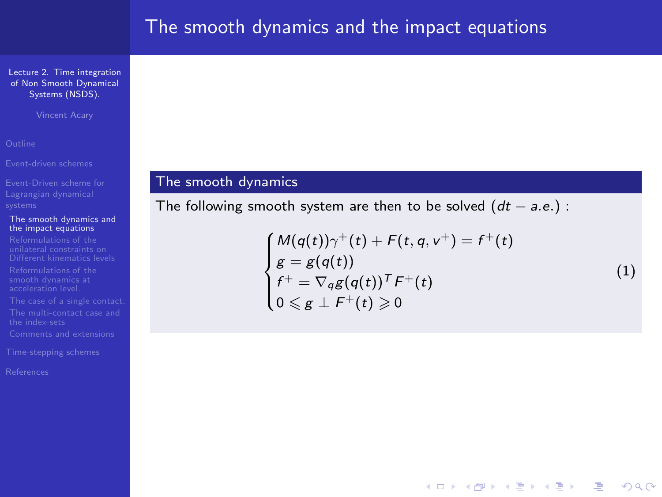Vincent Acary

#### [The smooth dynamics and](#page-3-0) the impact equations

<span id="page-4-0"></span>

## The smooth dynamics

The following smooth system are then to be solved  $(dt - a.e.)$ :

$$
\begin{cases}\nM(q(t))\gamma^+(t) + F(t, q, v^+) = f^+(t) \\
g = g(q(t)) \\
f^+ = \nabla_q g(q(t))^T F^+(t) \\
0 \leq g \perp F^+(t) \geq 0\n\end{cases}
$$
\n(1)

**YO A REAR SHOP A BY A GAR**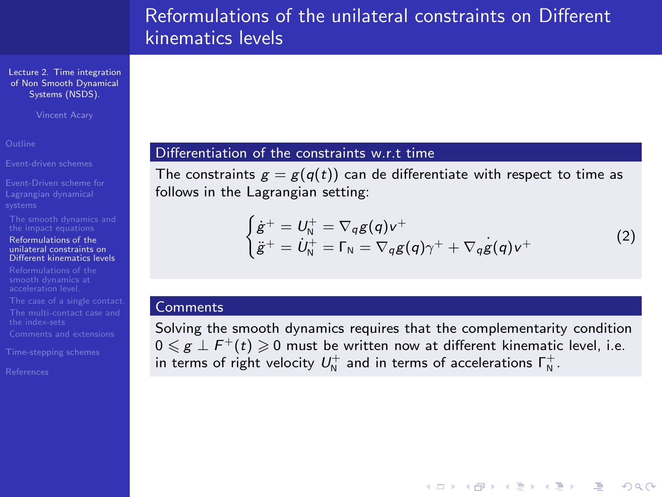[Lecture 2. Time integration](#page-0-0) of Non Smooth Dynamical Systems (NSDS).

Vincent Acary

[Event-driven schemes](#page-2-0)

[Event-Driven scheme for](#page-3-0)

#### Reformulations of the unilateral constraints on [Different kinematics levels](#page-5-0)

<span id="page-5-0"></span>

### Differentiation of the constraints w.r.t time

The constraints  $g = g(q(t))$  can de differentiate with respect to time as follows in the Lagrangian setting:

$$
\begin{cases}\n\dot{g}^+ = U_N^+ = \nabla_q g(q) v^+ \\
\ddot{g}^+ = \dot{U}_N^+ = \Gamma_N = \nabla_q g(q) \gamma^+ + \nabla_q g(q) v^+\n\end{cases}
$$
\n(2)

**YO A REAGE YOU ARE YOUR** 

#### **Comments**

Solving the smooth dynamics requires that the complementarity condition  $0 \leqslant g \perp F^+(t) \geqslant 0$  must be written now at different kinematic level, i.e. in terms of right velocity  $U_{\textrm{N}}^+$  and in terms of accelerations  $\mathsf{\Gamma}_{\textrm{N}}^+$ .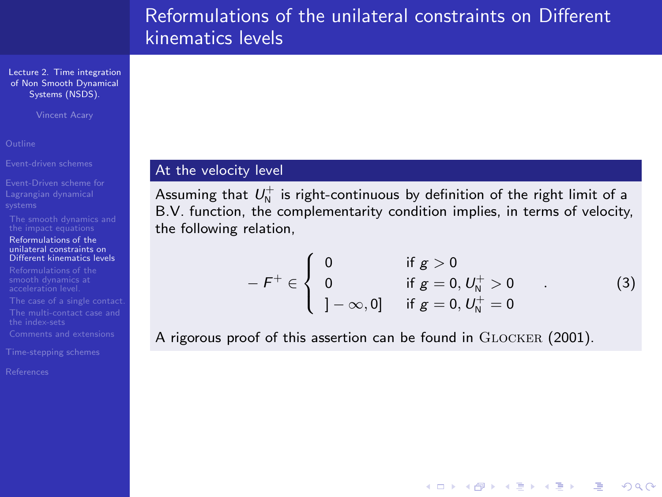[Lecture 2. Time integration](#page-0-0) of Non Smooth Dynamical Systems (NSDS).

Vincent Acary

[Event-driven schemes](#page-2-0)

#### Reformulations of the unilateral constraints on [Different kinematics levels](#page-5-0)

## At the velocity level

Assuming that  $U_{\textrm{N}}^{+}$  is right-continuous by definition of the right limit of a B.V. function, the complementarity condition implies, in terms of velocity, the following relation,

$$
-F^{+} \in \left\{ \begin{array}{ll} 0 & \text{if } g > 0 \\ 0 & \text{if } g = 0, U_{N}^{+} > 0 \\ -\infty, 0] & \text{if } g = 0, U_{N}^{+} = 0 \end{array} \right. \tag{3}
$$

**YO A RELATE YOUR** 

A rigorous proof of this assertion can be found in GLOCKER (2001).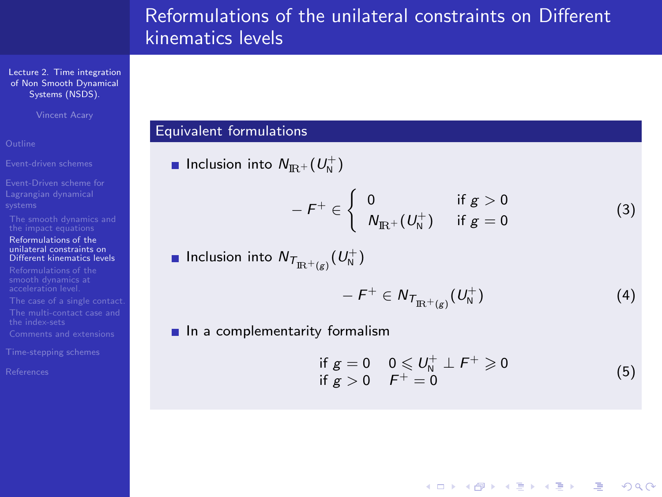[Lecture 2. Time integration](#page-0-0) of Non Smooth Dynamical Systems (NSDS).

Vincent Acary

#### Reformulations of the unilateral constraints on [Different kinematics levels](#page-5-0)

#### Equivalent formulations

Inclusion into  $N_{\rm I\!R^+} (U_{\rm N}^+)$ 

$$
-F^{+} \in \left\{ \begin{array}{ll} 0 & \text{if } g > 0 \\ N_{\text{IR}^{+}}(U_{\text{N}}^{+}) & \text{if } g = 0 \end{array} \right. \tag{3}
$$

Inclusion into  $N_{{\mathcal T}_{\mathrm{IR}^+}(g)}(U_{\mathsf{N}}^+)$ 

$$
-F^+\in N_{T_{\mathbb{R}^+(g)}}(U^+_N) \tag{4}
$$

 $\blacksquare$  In a complementarity formalism

$$
\begin{array}{ll}\n\text{if } g = 0 & 0 \leqslant U_N^+ \perp F^+ \geqslant 0 \\
\text{if } g > 0 & F^+ = 0\n\end{array} \tag{5}
$$

**YO A REAR SHOP A BY A GAR**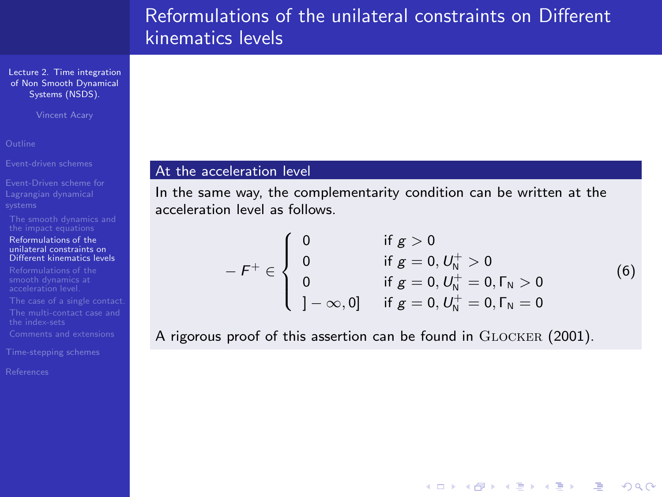[Lecture 2. Time integration](#page-0-0) of Non Smooth Dynamical Systems (NSDS).

Vincent Acary

[Event-driven schemes](#page-2-0)

#### Reformulations of the unilateral constraints on [Different kinematics levels](#page-5-0)

#### At the acceleration level

In the same way, the complementarity condition can be written at the acceleration level as follows.

$$
-F^{+} \in \begin{cases} 0 & \text{if } g > 0 \\ 0 & \text{if } g = 0, U_{N}^{+} > 0 \\ 0 & \text{if } g = 0, U_{N}^{+} = 0, \Gamma_{N} > 0 \\ -\infty, 0] & \text{if } g = 0, U_{N}^{+} = 0, \Gamma_{N} = 0 \end{cases}
$$
(6)

**YO A RELATE YOUR** 

A rigorous proof of this assertion can be found in GLOCKER (2001).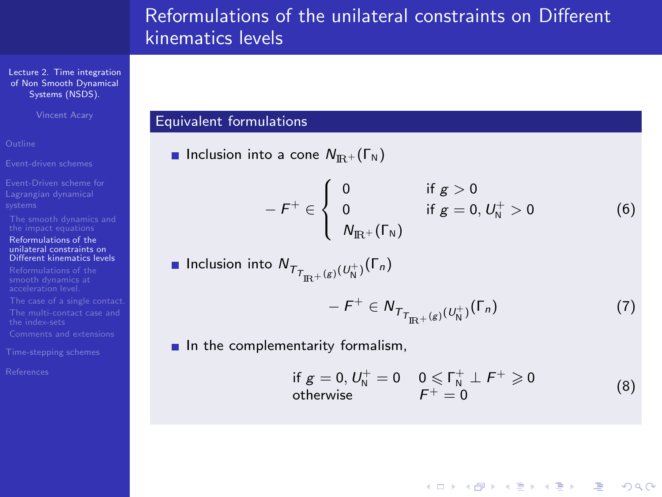[Lecture 2. Time integration](#page-0-0) of Non Smooth Dynamical Systems (NSDS).

Vincent Acary

- 
- 
- 

#### Reformulations of the unilateral constraints on [Different kinematics levels](#page-5-0)

- 
- 
- 
- 
- 
- 

## Equivalent formulations

**Inclusion into a cone**  $N_{\text{IR}} + (\Gamma_{\text{N}})$ 

$$
-F^{+} \in \left\{ \begin{array}{ll} 0 & \text{if } g > 0 \\ 0 & \text{if } g = 0, U_{N}^{+} > 0 \\ N_{\text{IR}^{+}}(\Gamma_{N}) & \end{array} \right. \tag{6}
$$

■ Inclusion into 
$$
N_{T_{\Pi^+}(g)(U_N^+)}(\Gamma_n)
$$
  
\n
$$
- F^+ \in N_{T_{\Pi^+}(g)(U_N^+)}(\Gamma_n)
$$
\n(7)

 $\blacksquare$  In the complementarity formalism,

if 
$$
g = 0
$$
,  $U_N^+ = 0$   $0 \le \Gamma_N^+ \perp F^+ \ge 0$   
otherwise  $F^+ = 0$  (8)

**YO A RELATE YOUR**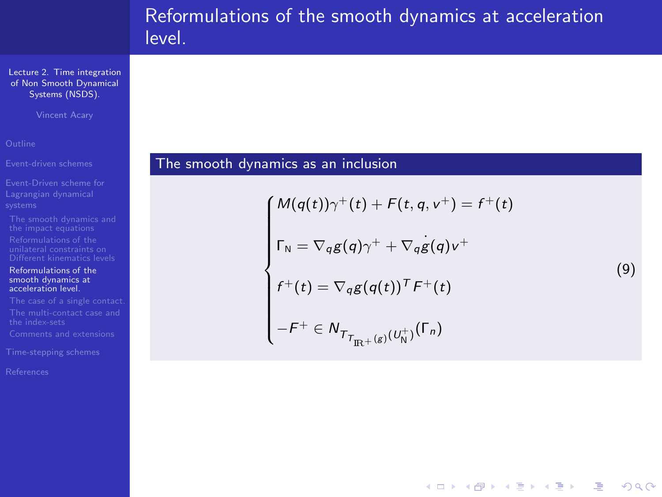# Reformulations of the smooth dynamics at acceleration level.

[Lecture 2. Time integration](#page-0-0) of Non Smooth Dynamical Systems (NSDS).

Vincent Acary

- 
- 
- 

#### [Reformulations of the](#page-10-0) smooth dynamics at acceleration level.

<span id="page-10-0"></span>

## The smooth dynamics as an inclusion

$$
\begin{cases}\nM(q(t))\gamma^+(t) + F(t, q, v^+) = f^+(t) \\
\Gamma_N = \nabla_q g(q)\gamma^+ + \nabla_q g(q)v^+ \\
f^+(t) = \nabla_q g(q(t))^T F^+(t) \\
-F^+ \in N_{T_{\text{TR}^+(g)}(U_N^+)}(\Gamma_n)\n\end{cases} \tag{9}
$$

**YO A RELATE YOUR**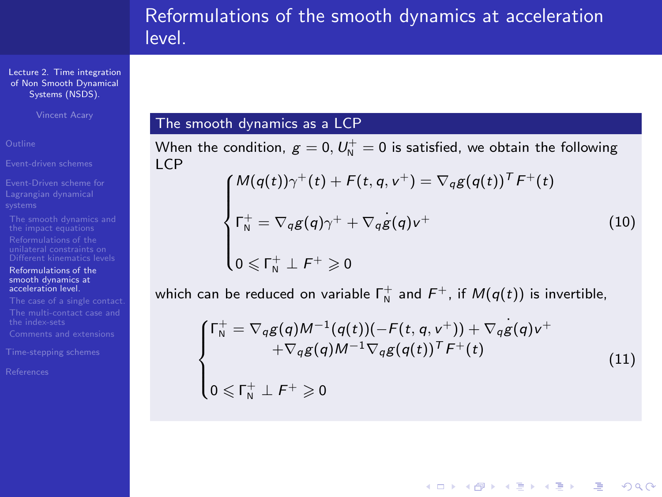# Reformulations of the smooth dynamics at acceleration level.

[Lecture 2. Time integration](#page-0-0) of Non Smooth Dynamical Systems (NSDS).

Vincent Acary

<span id="page-11-0"></span>

#### [Reformulations of the](#page-10-0) smooth dynamics at acceleration level.

<span id="page-11-1"></span>

## The smooth dynamics as a LCP

When the condition,  $g=0,$   $U_{\rm N}^+=0$  is satisfied, we obtain the following LCP

$$
\begin{cases}\nM(q(t))\gamma^+(t) + F(t, q, v^+) = \nabla_q g(q(t))^T F^+(t) \\
\Gamma_N^+ = \nabla_q g(q)\gamma^+ + \nabla_q g(q)v^+ \\
0 \leq \Gamma_N^+ \perp F^+ \geq 0\n\end{cases}
$$
\n(10)

which can be reduced on variable  $\mathsf{\Gamma}_{\mathsf{N}}^+$  and  $\mathsf{F}^+$ , if  $\mathsf{\mathcal{M}}(q(t))$  is invertible,

$$
\begin{cases}\n\Gamma_N^+ = \nabla_q g(q) M^{-1}(q(t)) (-F(t, q, v^+)) + \nabla_q g(q) v^+ \\
+ \nabla_q g(q) M^{-1} \nabla_q g(q(t))^T F^+(t) \\
0 \leq \Gamma_N^+ \perp F^+ \geq 0\n\end{cases}
$$
\n(11)

**YO A REAGE YOU ARE YOUR**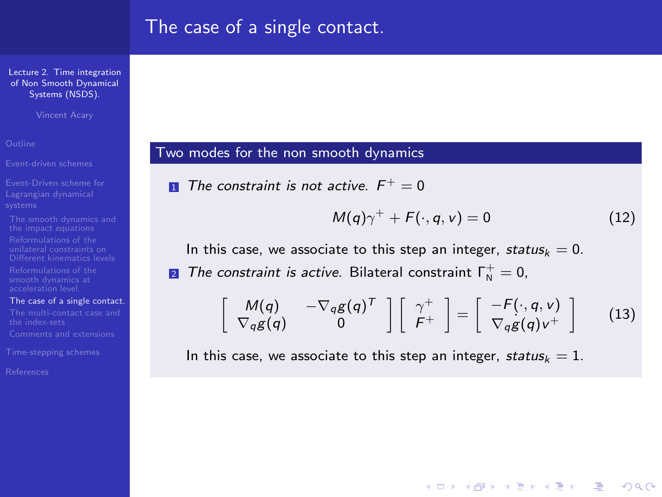[Lecture 2. Time integration](#page-0-0) of Non Smooth Dynamical Systems (NSDS).

Vincent Acary

[Event-driven schemes](#page-2-0)

[The case of a single contact.](#page-12-0)

<span id="page-12-2"></span>

<span id="page-12-0"></span>

#### Two modes for the non smooth dynamics

**1** The constraint is not active. 
$$
F^+ = 0
$$

$$
M(q)\gamma^+ + F(\cdot, q, v) = 0 \qquad (12)
$$

**YO A REAGE YOU ARE YOUR** 

<span id="page-12-1"></span>In this case, we associate to this step an integer, status $k = 0$ . 2 The constraint is active. Bilateral constraint  $\Gamma^+_{\rm N}=0$ ,

$$
\left[\begin{array}{cc}M(q) & -\nabla_q g(q)^T\\ \nabla_q g(q) & 0\end{array}\right]\left[\begin{array}{c} \gamma^+\\ F^+\end{array}\right]=\left[\begin{array}{c} -F(\cdot, q, v)\\ \nabla_q g(q) v^+\end{array}\right]
$$
(13)

In this case, we associate to this step an integer, status $k = 1$ .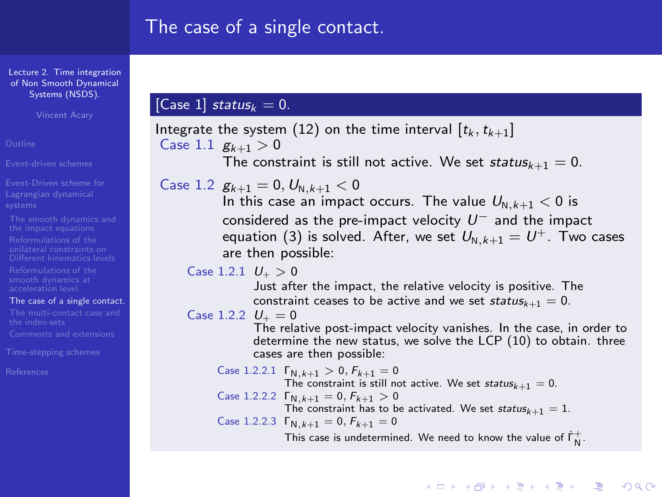[Lecture 2. Time integration](#page-0-0) of Non Smooth Dynamical Systems (NSDS).

Vincent Acary

[Event-driven schemes](#page-2-0)

[Event-Driven scheme for](#page-3-0)

#### [The case of a single contact.](#page-12-0)

[References](#page-46-0)

## [Case 1] status $_{k} = 0$ .

```
 (12) on the time interval [t_k, t_{k+1}]Case 1.1 g_{k+1} > 0The constraint is still not active. We set status_{k+1} = 0.
```
Case 1.2  $g_{k+1} = 0, U_{N,k+1} < 0$ 

In this case an impact occurs. The value  $U_{N,k+1} < 0$  is considered as the pre-impact velocity U<sup>−</sup> and the impact equation [\(3\)](#page-3-1) is solved. After, we set  $U_{N,k+1} = U^+$ . Two cases are then possible:

Case 1.2.1  $U_{+} > 0$ 

Just after the impact, the relative velocity is positive. The constraint ceases to be active and we set status $k+1 = 0$ .

Case 1.2.2  $U_+ = 0$ 

The relative post-impact velocity vanishes. In the case, in order to determine the new status, we solve the LCP [\(10\)](#page-11-0) to obtain. three cases are then possible:

Case 1.2.2.1  $\Gamma_{N,k+1} > 0$ ,  $F_{k+1} = 0$ The constraint is still not active. We set status $k+1 = 0$ . Case 1.2.2.2  $\Gamma_{N,k+1} = 0, F_{k+1} > 0$ The constraint has to be activated. We set  $status_{k+1} = 1$ . Case 1.2.2.3  $\Gamma_{N,k+1} = 0, F_{k+1} = 0$ This case is undetermined. We need to know the value of  $\dot{\mathsf{\Gamma}}_\mathsf{N}^+$ .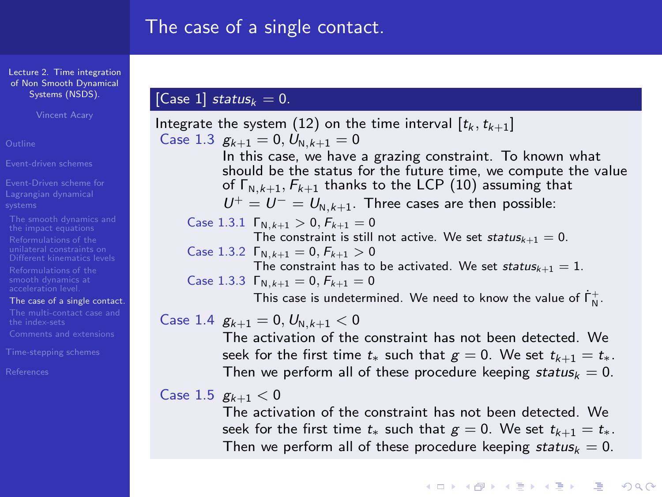[Lecture 2. Time integration](#page-0-0) of Non Smooth Dynamical Systems (NSDS).

Vincent Acary

[Event-driven schemes](#page-2-0)

- [Event-Driven scheme for](#page-3-0)
- 
- 
- 

[The case of a single contact.](#page-12-0)

[References](#page-46-0)

## [Case 1] status $_{k} = 0$ .

Integrate the system [\(12\)](#page-12-1) on the time interval  $[t_k, t_{k+1}]$ Case 1.3  $g_{k+1} = 0, U_{N,k+1} = 0$ In this case, we have a grazing constraint. To known what should be the status for the future time, we compute the value of  $\Gamma_{N,k+1}, F_{k+1}$  thanks to the LCP [\(10\)](#page-11-0) assuming that  $U^+ = U^- = U_{N-k+1}$ . Three cases are then possible: Case 1.3.1  $\Gamma_{N,k+1} > 0$ ,  $F_{k+1} = 0$ The constraint is still not active. We set status $k+1 = 0$ . Case 1.3.2  $\Gamma_{N,k+1} = 0, F_{k+1} > 0$ The constraint has to be activated. We set status<sub>k+1</sub> = 1. Case 1.3.3  $\Gamma_{N,k+1} = 0, F_{k+1} = 0$ This case is undetermined. We need to know the value of  $\dot{\mathsf{\Gamma}}_\mathsf{N}^+$ .

Case 1.4  $g_{k+1} = 0, U_{N-k+1} < 0$ 

The activation of the constraint has not been detected. We seek for the first time  $t_{*}$  such that  $g = 0$ . We set  $t_{k+1} = t_{*}$ . Then we perform all of these procedure keeping status $k = 0$ .

## Case 1.5  $g_{k+1} < 0$

The activation of the constraint has not been detected. We seek for the first time  $t_{*}$  such that  $g = 0$ . We set  $t_{k+1} = t_{*}$ . Then we perform all of these procedure keeping status $k = 0$ .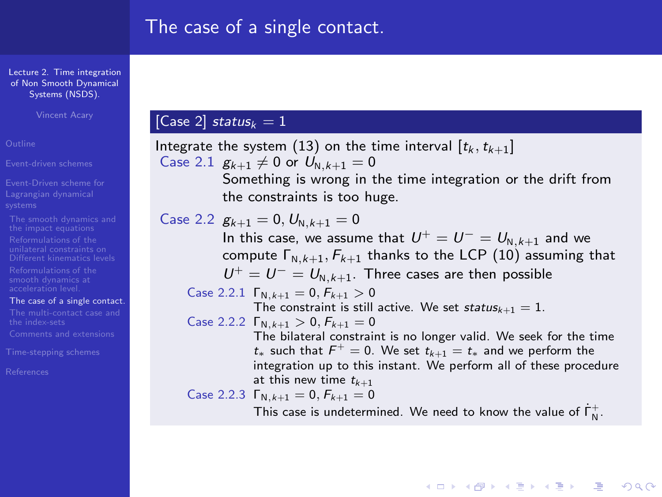[Lecture 2. Time integration](#page-0-0) of Non Smooth Dynamical Systems (NSDS).

Vincent Acary

[Event-driven schemes](#page-2-0)

- [Event-Driven scheme for](#page-3-0)
- 
- 
- 
- [The case of a single contact.](#page-12-0)
- 

[References](#page-46-0)

## [Case 2] status $_k = 1$

Integrate the system [\(13\)](#page-12-2) on the time interval  $[t_k, t_{k+1}]$ Case 2.1  $g_{k+1} \neq 0$  or  $U_{N,k+1} = 0$ Something is wrong in the time integration or the drift from the constraints is too huge. Case 2.2  $g_{k+1} = 0, U_{N,k+1} = 0$ In this case, we assume that  $U^+ = U^- = U_{N-k+1}$  and we compute  $\Gamma_{N,k+1}, F_{k+1}$  thanks to the LCP [\(10\)](#page-11-0) assuming that  $U^+ = U^- = U_{N,k+1}$ . Three cases are then possible Case 2.2.1  $\Gamma_{N,k+1} = 0, F_{k+1} > 0$ The constraint is still active. We set status $k+1 = 1$ . Case 2.2.2  $\Gamma_{N,k+1} > 0, F_{k+1} = 0$ The bilateral constraint is no longer valid. We seek for the time  $t_*$  such that  $F^+ = 0$ . We set  $t_{k+1} = t_*$  and we perform the integration up to this instant. We perform all of these procedure at this new time  $t_{k+1}$ Case 2.2.3  $\Gamma_{N,k+1} = 0, F_{k+1} = 0$ This case is undetermined. We need to know the value of  $\dot{\mathsf{\Gamma}}_\mathsf{N}^+$ .

**YO A REAGE YOU ARE YOU ARE YOU ARE STOLEN.**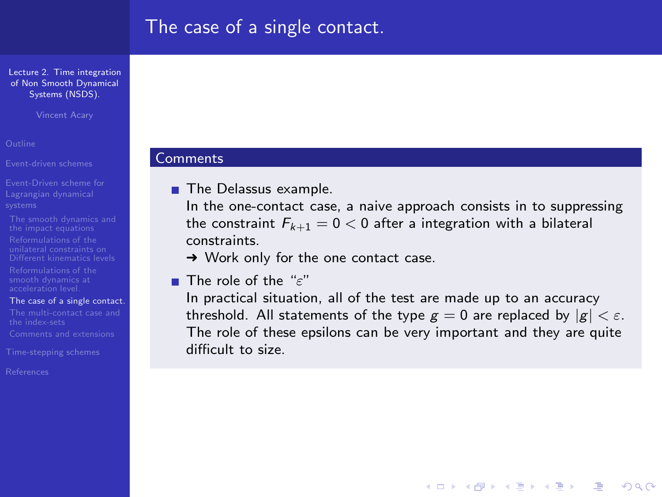[Lecture 2. Time integration](#page-0-0) of Non Smooth Dynamical Systems (NSDS).

Vincent Acary

[Event-driven schemes](#page-2-0)

- [Event-Driven scheme for](#page-3-0)
- 
- 
- 
- [The case of a single contact.](#page-12-0)
- 

[References](#page-46-0)

#### **Comments**

**The Delassus example.** 

In the one-contact case, a naive approach consists in to suppressing the constraint  $F_{k+1} = 0 < 0$  after a integration with a bilateral constraints.

**→ Work only for the one contact case.** 

**The role of the "ε"** 

In practical situation, all of the test are made up to an accuracy threshold. All statements of the type  $g = 0$  are replaced by  $|g| < \varepsilon$ . The role of these epsilons can be very important and they are quite difficult to size.

**ADD 4 REPAIR AND A COA**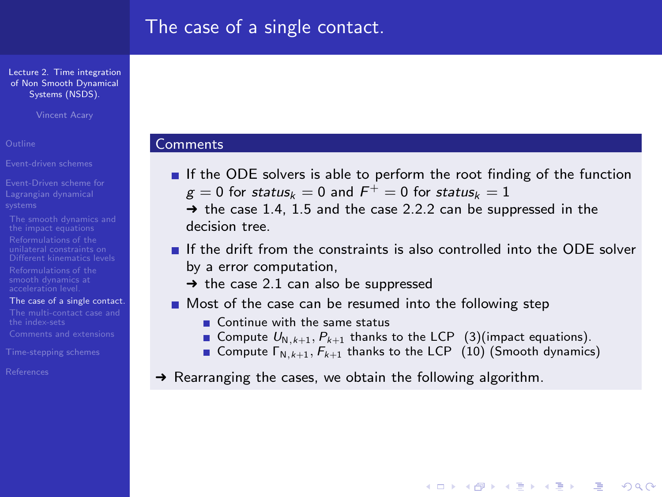**Comments** 

[Lecture 2. Time integration](#page-0-0) of Non Smooth Dynamical Systems (NSDS).

Vincent Acary

[Event-driven schemes](#page-2-0)

[Event-Driven scheme for](#page-3-0)

[The case of a single contact.](#page-12-0)

[References](#page-46-0)

If the ODE solvers is able to perform the root finding of the function  $g=0$  for  $status_k=0$  and  $F^+=0$  for  $status_k=1$  $\rightarrow$  the case 1.4, 1.5 and the case 2.2.2 can be suppressed in the decision tree.

 $\blacksquare$  If the drift from the constraints is also controlled into the ODE solver by a error computation,

 $\rightarrow$  the case 2.1 can also be suppressed

Most of the case can be resumed into the following step

Continue with the same status

Gompute  $U_{N,k+1}, P_{k+1}$  thanks to the LCP [\(3\)](#page-3-1)(impact equations).

Compute  $\Gamma_{N,k+1}, F_{k+1}$  thanks to the LCP [\(10\)](#page-11-0) (Smooth dynamics)

**YO A REAGE YOU ARE YOU ARE YOU ARE STOLEN.** 

 $\rightarrow$  Rearranging the cases, we obtain the following algorithm.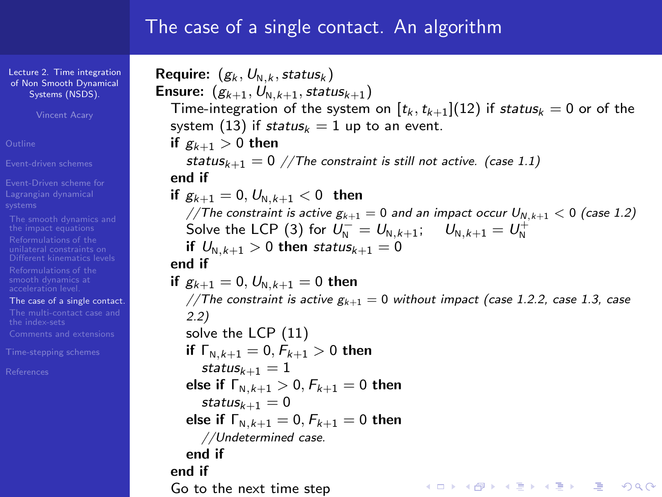## The case of a single contact. An algorithm

[Lecture 2. Time integration](#page-0-0) of Non Smooth Dynamical Systems (NSDS).

Vincent Acary

[Event-driven schemes](#page-2-0)

[Event-Driven scheme for](#page-3-0)

[The case of a single contact.](#page-12-0)

Require:  $(g_k, U_{N,k}, status_k)$ **Ensure:**  $(g_{k+1}, U_{N,k+1}, status_{k+1})$ Time-integration of the system on  $[t_k, t_{k+1}](12)$  $[t_k, t_{k+1}](12)$  if status $k = 0$  or of the system [\(13\)](#page-12-2) if status $k = 1$  up to an event. if  $g_{k+1} > 0$  then status<sub>k+1</sub> = 0 //The constraint is still not active. (case 1.1) end if if  $g_{k+1} = 0, U_{N-k+1} < 0$  then //The constraint is active  $g_{k+1} = 0$  and an impact occur  $U_{N, k+1} < 0$  (case 1.2) Solve the LCP [\(3\)](#page-3-1) for  $U_N^{-} = U_{N,k+1}$ ;  $U_{N,k+1} = U_N^{+}$ if  $U_{N,k+1} > 0$  then status<sub>k+1</sub> = 0 end if if  $g_{k+1} = 0, U_{N-k+1} = 0$  then //The constraint is active  $g_{k+1} = 0$  without impact (case 1.2.2, case 1.3, case 2.2) solve the LCP [\(11\)](#page-11-1) if  $\Gamma_{N,k+1} = 0, F_{k+1} > 0$  then status $\iota_{+1} = 1$ else if  $\Gamma_{N,k+1} > 0, F_{k+1} = 0$  then  $status_{k+1} = 0$ else if  $\Gamma_{N,k+1} = 0, F_{k+1} = 0$  then //Undetermined case. end if end if **YO A REAGE YOU ARE YOU ARE YOU ARE STOLEN.** Go to the next time step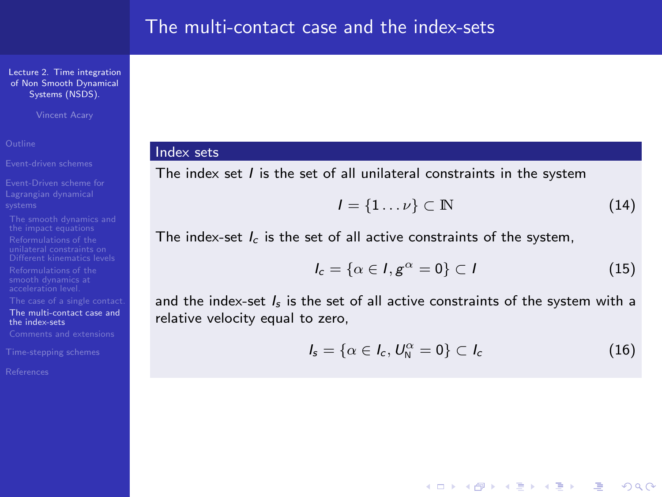Vincent Acary

[Event-driven schemes](#page-2-0)

[Event-Driven scheme for](#page-3-0)

[The multi-contact case and](#page-19-0) the index-sets

<span id="page-19-0"></span>

#### Index sets

The index set  $I$  is the set of all unilateral constraints in the system

$$
I = \{1 \dots \nu\} \subset \mathbb{N} \tag{14}
$$

The index-set  $I_c$  is the set of all active constraints of the system,

$$
I_c = \{ \alpha \in I, g^{\alpha} = 0 \} \subset I
$$
 (15)

and the index-set  $I_s$  is the set of all active constraints of the system with a relative velocity equal to zero,

$$
I_s = \{ \alpha \in I_c, U_N^{\alpha} = 0 \} \subset I_c \tag{16}
$$

**YO A RELATE YOUR**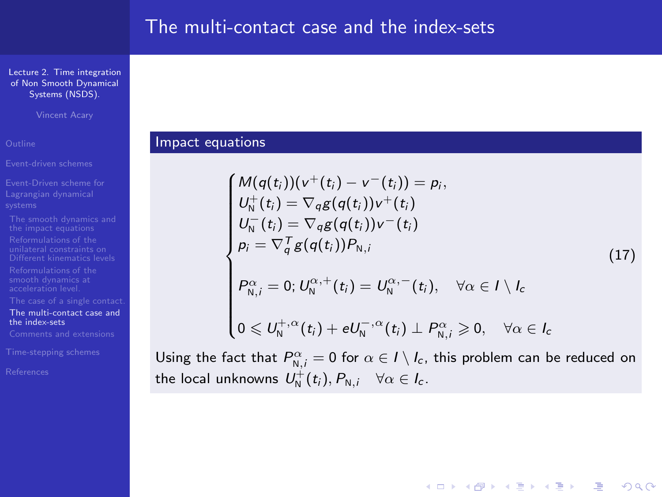Vincent Acary

<span id="page-20-0"></span>

[The multi-contact case and](#page-19-0) the index-sets

## Impact equations

$$
\begin{cases}\nM(q(t_i))(v^+(t_i) - v^-(t_i)) = p_i, \\
U_N^+(t_i) = \nabla_q g(q(t_i))v^+(t_i) \\
U_N^-(t_i) = \nabla_q g(q(t_i))v^-(t_i) \\
p_i = \nabla_q^T g(q(t_i))P_{N,i} \\
P_{N,i}^{\alpha} = 0; U_N^{\alpha,+}(t_i) = U_N^{\alpha,-}(t_i), \quad \forall \alpha \in I \setminus I_c \\
0 \leq U_N^{+, \alpha}(t_i) + eU_N^{-, \alpha}(t_i) \perp P_{N,i}^{\alpha} \geq 0, \quad \forall \alpha \in I_c\n\end{cases}
$$
\n(17)

**YO A REAGE YOU ARE YOU ARE YOU ARE STOLEN.** 

$$
P^{\alpha}_{N,i}=0; U^{\alpha,+}_{N}(t_i)=U^{\alpha,-}_{N}(t_i), \quad \forall \alpha \in I \setminus I_c
$$

$$
0\leqslant U_{\mathrm{N}}^{+,\alpha}(t_i)+eU_{\mathrm{N}}^{-,\alpha}(t_i)\perp P_{\mathrm{N},i}^\alpha\geqslant 0,\quad \forall \alpha\in I_c
$$

Using the fact that  $P^{\alpha}_{N,i}=0$  for  $\alpha \in I \setminus I_c$ , this problem can be reduced on the local unknowns  $U^+_N(t_i), P_{N,i}$   $\forall \alpha \in I_c$ .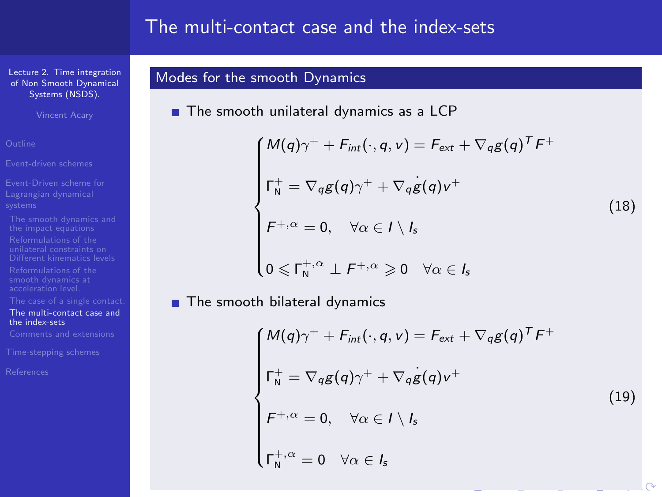## The multi-contact case and the index-sets

[Lecture 2. Time integration](#page-0-0) of Non Smooth Dynamical Systems (NSDS).

Vincent Acary

[Event-driven schemes](#page-2-0)

[The multi-contact case and](#page-19-0) the index-sets

<span id="page-21-0"></span>

## Modes for the smooth Dynamics

The smooth unilateral dynamics as a LCP

$$
\begin{cases}\nM(q)\gamma^+ + F_{int}(\cdot, q, v) = F_{ext} + \nabla_q g(q)^T F^+ \\
\Gamma_N^+ = \nabla_q g(q) \gamma^+ + \nabla_q g(q) v^+ \\
F^{+,\alpha} = 0, \quad \forall \alpha \in I \setminus I_s \\
0 \leq \Gamma_N^{+,\alpha} \perp F^{+,\alpha} \geq 0 \quad \forall \alpha \in I_s\n\end{cases}
$$
\n(18)

<span id="page-21-1"></span>**The smooth bilateral dynamics** 

$$
\begin{cases}\nM(q)\gamma^+ + F_{int}(\cdot, q, v) = F_{ext} + \nabla_q g(q)^T F^+ \\
\Gamma_N^+ = \nabla_q g(q) \gamma^+ + \nabla_q g(q) v^+ \\
F^{+,\alpha} = 0, \quad \forall \alpha \in I \setminus I_s \\
\Gamma_N^+,\alpha = 0 \quad \forall \alpha \in I_s\n\end{cases}
$$
\n(19)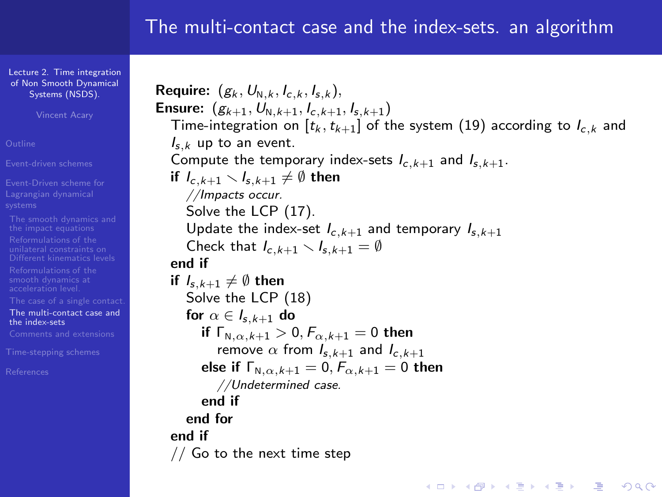## The multi-contact case and the index-sets. an algorithm

[Lecture 2. Time integration](#page-0-0) of Non Smooth Dynamical Systems (NSDS).

Vincent Acary

[Event-driven schemes](#page-2-0)

[Event-Driven scheme for](#page-3-0)

[The multi-contact case and](#page-19-0) the index-sets

Require:  $(g_k, U_{N,k}, I_{c,k}, I_{s,k}),$ **Ensure:**  $(g_{k+1}, U_{N,k+1}, I_{c,k+1}, I_{s,k+1})$ Time-integration on  $[t_k, t_{k+1}]$  of the system [\(19\)](#page-21-0) according to  $I_{c,k}$  and  $I_{s,k}$  up to an event. Compute the temporary index-sets  $I_{c,k+1}$  and  $I_{s,k+1}$ . if  $I_{c,k+1} \setminus I_{s,k+1} \neq \emptyset$  then //Impacts occur. Solve the LCP [\(17\)](#page-20-0). Update the index-set  $I_{c,k+1}$  and temporary  $I_{s,k+1}$ Check that  $I_{c,k+1} \setminus I_{s,k+1} = \emptyset$ end if if  $I_{s,k+1} \neq \emptyset$  then Solve the LCP [\(18\)](#page-21-1) for  $\alpha \in I_{s,k+1}$  do if  $\Gamma_{N,\alpha,k+1} > 0, F_{\alpha,k+1} = 0$  then remove  $\alpha$  from  $I_{s,k+1}$  and  $I_{c,k+1}$ else if  $\Gamma_{N,\alpha,k+1} = 0, F_{\alpha,k+1} = 0$  then //Undetermined case. end if end for end if // Go to the next time step**YO A REAGE YOU ARE YOU ARE YOU ARE STOLEN.**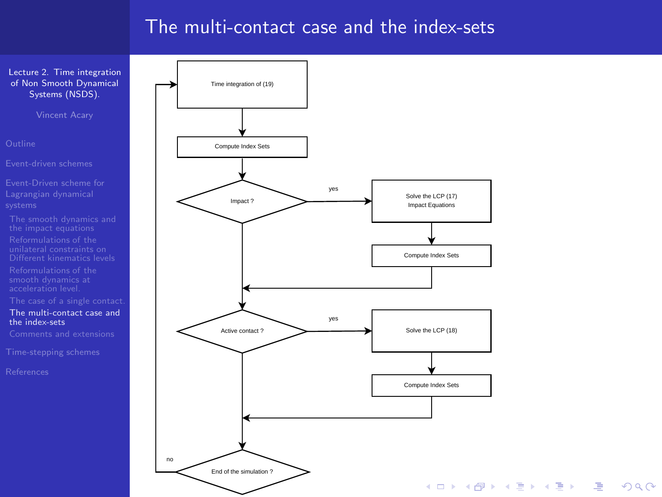## The multi-contact case and the index-sets

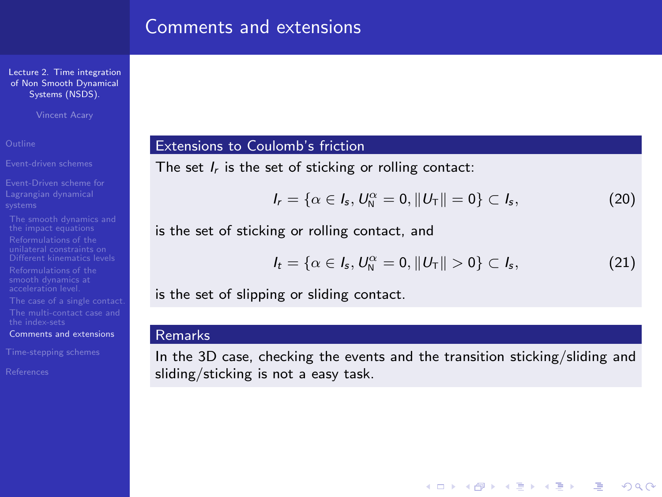## Comments and extensions

[Lecture 2. Time integration](#page-0-0) of Non Smooth Dynamical Systems (NSDS).

Vincent Acary

[Event-driven schemes](#page-2-0)

[Event-Driven scheme for](#page-3-0)

[Comments and extensions](#page-24-0)

<span id="page-24-0"></span>

## Extensions to Coulomb's friction

The set  $I_r$  is the set of sticking or rolling contact:

$$
I_r = \{\alpha \in I_s, U_N^{\alpha} = 0, ||U_T|| = 0\} \subset I_s,
$$
\n(20)

is the set of sticking or rolling contact, and

$$
I_t = \{ \alpha \in I_s, U_N^{\alpha} = 0, ||U_T|| > 0 \} \subset I_s,
$$
 (21)

**YO A REAGE YOU ARE YOU ARE YOU ARE STOLEN.** 

is the set of slipping or sliding contact.

#### Remarks

In the 3D case, checking the events and the transition sticking/sliding and sliding/sticking is not a easy task.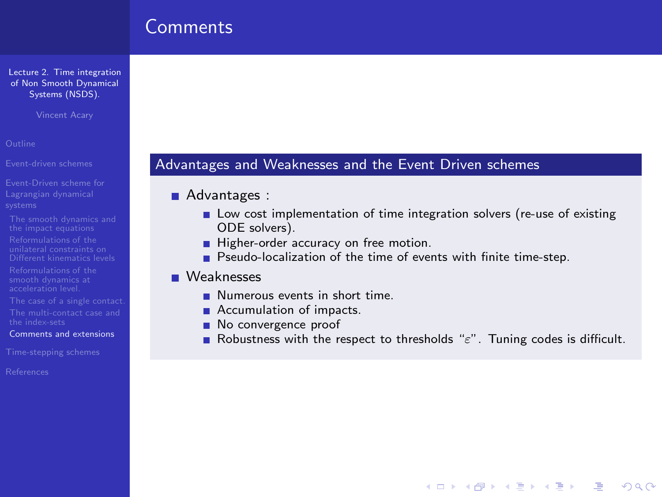## Comments

[Lecture 2. Time integration](#page-0-0) of Non Smooth Dynamical Systems (NSDS).

Vincent Acary

[Event-driven schemes](#page-2-0)

- [Event-Driven scheme for](#page-3-0)
- 
- 
- 
- 
- 
- [Comments and extensions](#page-24-0)

<span id="page-25-0"></span>

## Advantages and Weaknesses and the Event Driven schemes

#### Advantages :

- Low cost implementation of time integration solvers (re-use of existing ODE solvers).
- Higher-order accuracy on free motion.
- **Pseudo-localization of the time of events with finite time-step.**

#### **Neaknesses**

- Numerous events in short time.
- Accumulation of impacts.
- No convergence proof
- Robustness with the respect to thresholds " $\varepsilon$ ". Tuning codes is difficult.

**YO A REAGE YOU ARE YOU ARE YOU ARE STOLEN.**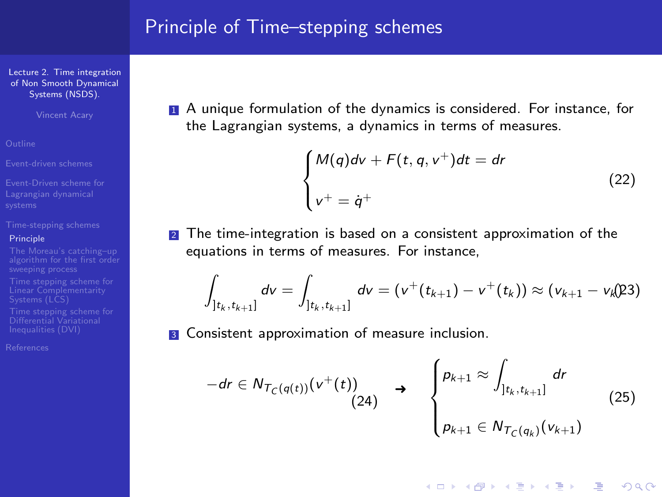## Principle of Time–stepping schemes

[Lecture 2. Time integration](#page-0-0) of Non Smooth Dynamical Systems (NSDS).

Vincent Acary

#### [Principle](#page-26-0)

Differential Variational

<span id="page-26-0"></span>[References](#page-46-0)

1 A unique formulation of the dynamics is considered. For instance, for the Lagrangian systems, a dynamics in terms of measures.

$$
\begin{cases}\nM(q)d\mathsf{v} + F(t, q, \mathsf{v}^+)dt = dr \\
\mathsf{v}^+ = \dot{q}^+\n\end{cases}
$$
\n(22)

**YO A RELATE YOUR** 

**2** The time-integration is based on a consistent approximation of the equations in terms of measures. For instance,

$$
\int_{]t_k,t_{k+1}]} dv = \int_{]t_k,t_{k+1}]} dv = (v^+(t_{k+1}) - v^+(t_k)) \approx (v_{k+1} - v_k(23))
$$

**3** Consistent approximation of measure inclusion.

$$
-dr \in N_{T_C(q(t))}(v^+(t)) \longrightarrow \begin{cases} p_{k+1} \approx \int_{]t_k, t_{k+1}]} dr \\ p_{k+1} \in N_{T_C(q_k)}(v_{k+1}) \end{cases}
$$
(25)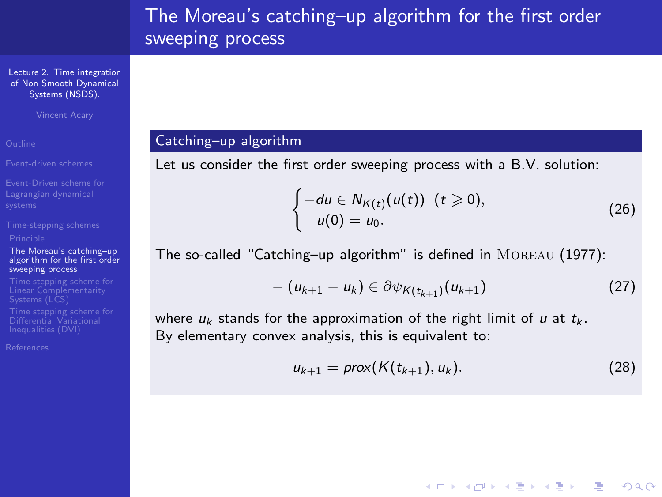[Lecture 2. Time integration](#page-0-0) of Non Smooth Dynamical Systems (NSDS).

Vincent Acary

[Event-driven schemes](#page-2-0)

[Event-Driven scheme for](#page-3-0)

The Moreau's catching–up [algorithm for the first order](#page-27-0) sweeping process

Differential Variational

<span id="page-27-0"></span>[References](#page-46-0)

### Catching–up algorithm

Let us consider the first order sweeping process with a B.V. solution:

$$
\begin{cases}\n-du \in N_{K(t)}(u(t)) \ \ (t \geqslant 0), \\
u(0) = u_0.\n\end{cases} \tag{26}
$$

The so-called "Catching–up algorithm" is defined in Moreau (1977):

$$
-(u_{k+1}-u_k)\in \partial \psi_{K(t_{k+1})}(u_{k+1})
$$
\n(27)

where  $u_k$  stands for the approximation of the right limit of u at  $t_k$ . By elementary convex analysis, this is equivalent to:

$$
u_{k+1} = \text{prox}(K(t_{k+1}), u_k). \tag{28}
$$

**YO A REAGE YOU ARE YOU ARE YOU ARE STOLEN.**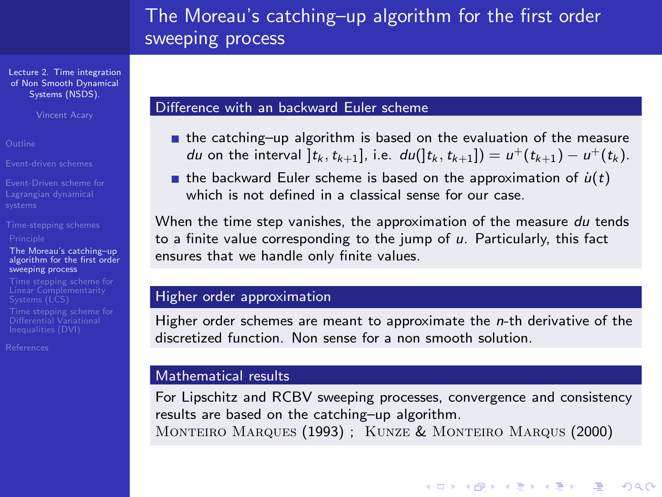[Lecture 2. Time integration](#page-0-0) of Non Smooth Dynamical Systems (NSDS).

Vincent Acary

[Event-driven schemes](#page-2-0)

[Event-Driven scheme for](#page-3-0)

#### The Moreau's catching–up [algorithm for the first order](#page-27-0) sweeping process

Differential Variational

[References](#page-46-0)

#### Difference with an backward Euler scheme

- $\blacksquare$  the catching–up algorithm is based on the evaluation of the measure du on the interval  $]t_k, t_{k+1}$ , i.e.  $du([t_k, t_{k+1}]) = u^+(t_{k+1}) - u^+(t_k)$ .
- **the backward Euler scheme is based on the approximation of**  $u(t)$ which is not defined in a classical sense for our case.

When the time step vanishes, the approximation of the measure du tends to a finite value corresponding to the jump of  $u$ . Particularly, this fact ensures that we handle only finite values.

#### Higher order approximation

Higher order schemes are meant to approximate the  $n$ -th derivative of the discretized function. Non sense for a non smooth solution.

#### Mathematical results

For Lipschitz and RCBV sweeping processes, convergence and consistency results are based on the catching–up algorithm. Monteiro Marques (1993) ; Kunze & Monteiro Marqus (2000)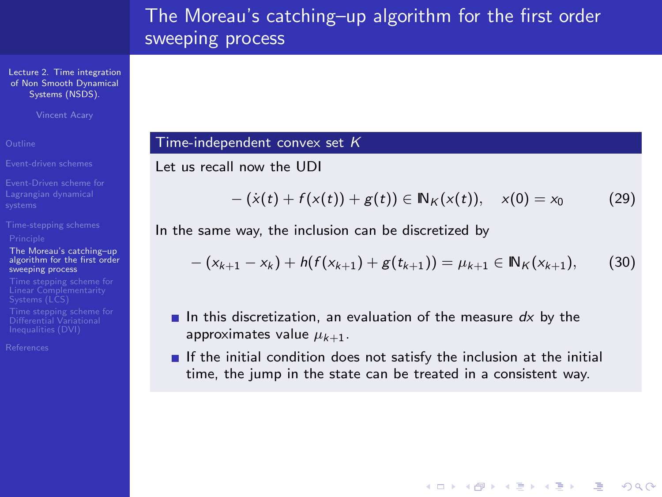[Lecture 2. Time integration](#page-0-0) of Non Smooth Dynamical Systems (NSDS).

Vincent Acary

[Event-driven schemes](#page-2-0)

[Event-Driven scheme for](#page-3-0)

#### The Moreau's catching–up [algorithm for the first order](#page-27-0) sweeping process

Differential Variational

[References](#page-46-0)

## Time-independent convex set  $K$

Let us recall now the UDI

$$
-(\dot{x}(t) + f(x(t)) + g(t)) \in \mathbb{N}_K(x(t)), \quad x(0) = x_0 \tag{29}
$$

**YO A RELATE YOUR** 

<span id="page-29-0"></span>In the same way, the inclusion can be discretized by

$$
-(x_{k+1}-x_k)+h(f(x_{k+1})+g(t_{k+1}))=\mu_{k+1}\in\mathbb{N}_K(x_{k+1}),
$$
 (30)

- In this discretization, an evaluation of the measure  $dx$  by the approximates value  $\mu_{k+1}$ .
- If the initial condition does not satisfy the inclusion at the initial time, the jump in the state can be treated in a consistent way.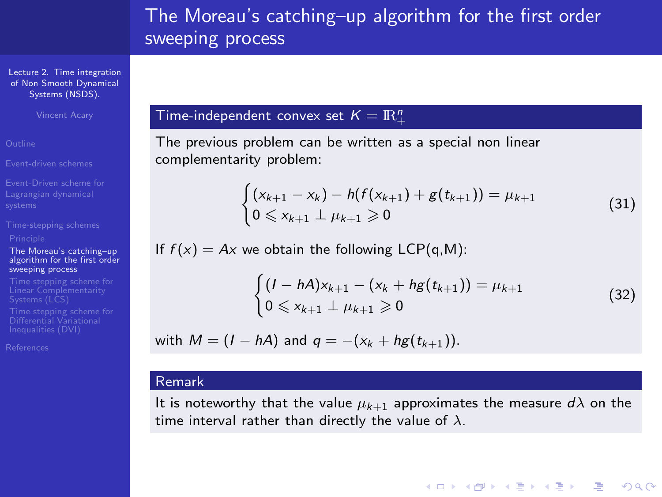[Lecture 2. Time integration](#page-0-0) of Non Smooth Dynamical Systems (NSDS).

Vincent Acary

[Event-driven schemes](#page-2-0)

[Event-Driven scheme for](#page-3-0)

#### The Moreau's catching–up [algorithm for the first order](#page-27-0) sweeping process

Differential Variational

[References](#page-46-0)

## Time-independent convex set  $K = \mathbb{R}^n_+$

The previous problem can be written as a special non linear complementarity problem:

$$
\begin{cases} (x_{k+1} - x_k) - h(f(x_{k+1}) + g(t_{k+1})) = \mu_{k+1} \\ 0 \le x_{k+1} \perp \mu_{k+1} \ge 0 \end{cases}
$$
 (31)

If  $f(x) = Ax$  we obtain the following LCP(q,M):

$$
\begin{cases} (I - hA)x_{k+1} - (x_k + hg(t_{k+1})) = \mu_{k+1} \\ 0 \le x_{k+1} \perp \mu_{k+1} \ge 0 \end{cases}
$$
 (32)

**ADD 4 REPAIR AND A COA** 

with  $M = (I - hA)$  and  $q = -(x_k + hg(t_{k+1}))$ .

## Remark

It is noteworthy that the value  $\mu_{k+1}$  approximates the measure  $d\lambda$  on the time interval rather than directly the value of  $\lambda$ .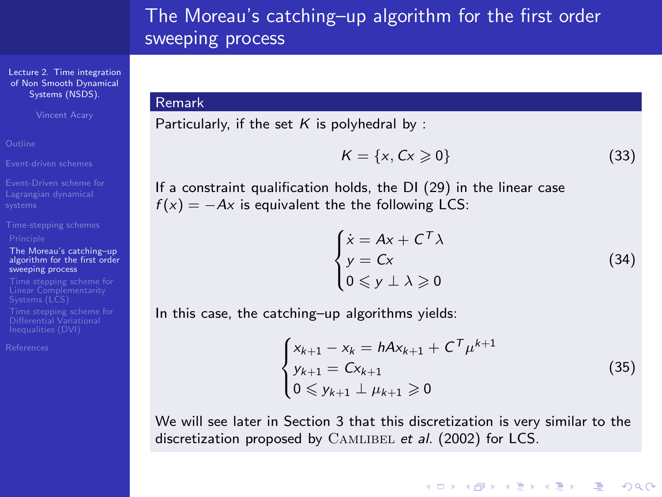[Lecture 2. Time integration](#page-0-0) of Non Smooth Dynamical Systems (NSDS).

<span id="page-31-0"></span>Vincent Acary

[Event-driven schemes](#page-2-0)

[Event-Driven scheme for](#page-3-0)

#### The Moreau's catching–up [algorithm for the first order](#page-27-0) sweeping process

Differential Variational

[References](#page-46-0)

#### Remark

Particularly, if the set  $K$  is polyhedral by :

$$
K = \{x, Cx \geqslant 0\} \tag{33}
$$

If a constraint qualification holds, the DI [\(29\)](#page-29-0) in the linear case  $f(x) = -Ax$  is equivalent the the following LCS:

$$
\begin{cases}\n\dot{x} = Ax + C^T \lambda \\
y = Cx \\
0 \le y \perp \lambda \ge 0\n\end{cases}
$$
\n(34)

**YO A REAGE YOU ARE YOU ARE YOU ARE STOLEN.** 

In this case, the catching–up algorithms yields:

$$
\begin{cases} x_{k+1} - x_k = hA x_{k+1} + C^T \mu^{k+1} \\ y_{k+1} = C x_{k+1} \\ 0 \le y_{k+1} \perp \mu_{k+1} \ge 0 \end{cases}
$$
 (35)

We will see later in Section [3](#page-32-1) that this discretization is very similar to the discretization proposed by CAMLIBEL et al. (2002) for LCS.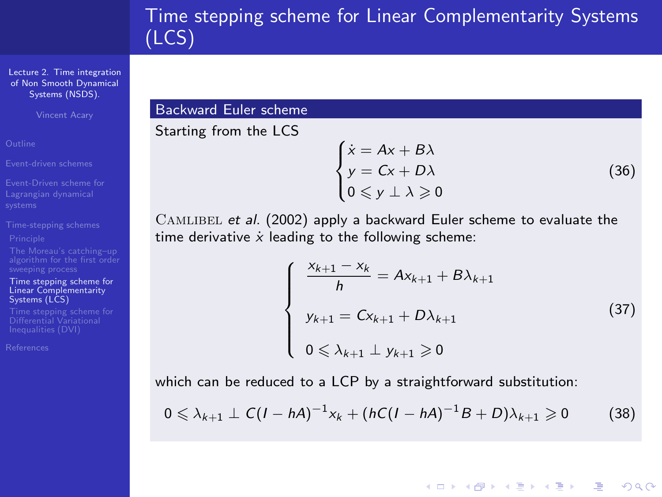<span id="page-32-1"></span>[Lecture 2. Time integration](#page-0-0) of Non Smooth Dynamical Systems (NSDS).

Vincent Acary

[Time stepping scheme for](#page-32-0) Linear Complementarity Systems (LCS)

Differential Variational

<span id="page-32-0"></span>[References](#page-46-0)

## Backward Euler scheme

Starting from the LCS

$$
\begin{cases}\n\dot{x} = Ax + B\lambda \\
y = Cx + D\lambda \\
0 \le y \perp \lambda \ge 0\n\end{cases}
$$
\n(36)

CAMLIBEL et al. (2002) apply a backward Euler scheme to evaluate the time derivative  $\dot{x}$  leading to the following scheme:

$$
\begin{cases}\n\frac{x_{k+1} - x_k}{h} = Ax_{k+1} + B\lambda_{k+1} \\
y_{k+1} = Cx_{k+1} + D\lambda_{k+1} \\
0 \le \lambda_{k+1} \perp y_{k+1} \ge 0\n\end{cases}
$$
\n(37)

**YO A REAR SHOP A BY A GAR** 

which can be reduced to a LCP by a straightforward substitution:

$$
0\leqslant \lambda_{k+1}\perp C(I-hA)^{-1}x_k+(hC(I-hA)^{-1}B+D)\lambda_{k+1}\geqslant 0\qquad \quad (38)
$$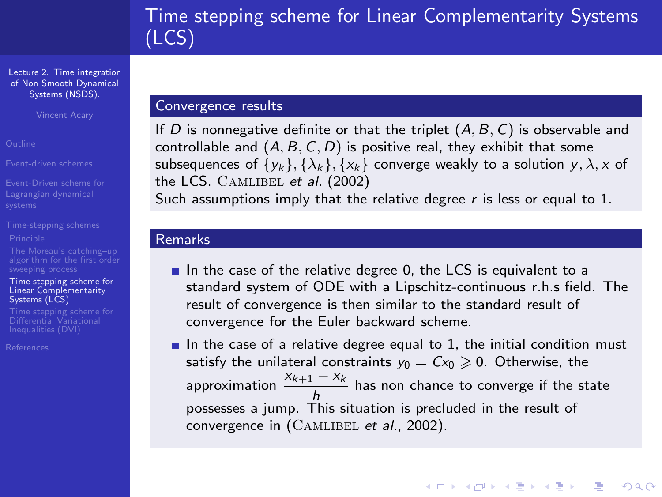[Lecture 2. Time integration](#page-0-0) of Non Smooth Dynamical Systems (NSDS).

Vincent Acary

[Event-Driven scheme for](#page-3-0)

[Time stepping scheme for](#page-32-0) Linear Complementarity Systems (LCS)

Differential Variational

[References](#page-46-0)

#### Convergence results

If D is nonnegative definite or that the triplet  $(A, B, C)$  is observable and controllable and  $(A, B, C, D)$  is positive real, they exhibit that some subsequences of  $\{y_k\}, \{\lambda_k\}, \{x_k\}$  converge weakly to a solution y,  $\lambda$ , x of the LCS. CAMLIBEL et al. (2002)

Such assumptions imply that the relative degree  $r$  is less or equal to 1.

#### Remarks

- $\blacksquare$  In the case of the relative degree 0, the LCS is equivalent to a standard system of ODE with a Lipschitz-continuous r.h.s field. The result of convergence is then similar to the standard result of convergence for the Euler backward scheme.
- In the case of a relative degree equal to 1, the initial condition must satisfy the unilateral constraints  $y_0 = Cx_0 \geq 0$ . Otherwise, the approximation  $\frac{x_{k+1} - x_k}{t}$  $\frac{h}{h}$  has non chance to converge if the state possesses a jump. This situation is precluded in the result of convergence in (CAMLIBEL et al., 2002).

**ADD 4 REPAIR AND A COA**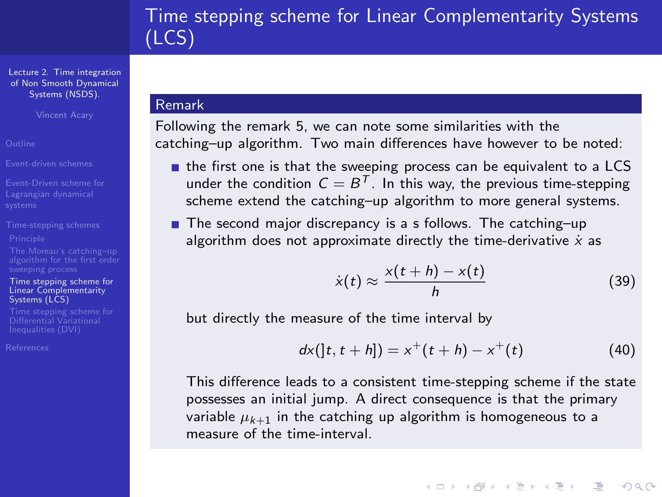[Lecture 2. Time integration](#page-0-0) of Non Smooth Dynamical Systems (NSDS).

Vincent Acary

[Event-Driven scheme for](#page-3-0)

[Time stepping scheme for](#page-32-0) Linear Complementarity Systems (LCS)

Differential Variational

[References](#page-46-0)

### Remark

Following the remark [5,](#page-31-0) we can note some similarities with the catching–up algorithm. Two main differences have however to be noted:

- $\blacksquare$  the first one is that the sweeping process can be equivalent to a LCS under the condition  $\mathcal{C} = \mathcal{B}^\mathcal{T}.$  In this way, the previous time-stepping scheme extend the catching–up algorithm to more general systems.
- The second major discrepancy is a s follows. The catching–up algorithm does not approximate directly the time-derivative  $\dot{x}$  as

$$
\dot{x}(t) \approx \frac{x(t+h) - x(t)}{h} \tag{39}
$$

**ADD 4 REPAIR AND A COA** 

but directly the measure of the time interval by

$$
dx([t, t+h]) = x^+(t+h) - x^+(t)
$$
 (40)

This difference leads to a consistent time-stepping scheme if the state possesses an initial jump. A direct consequence is that the primary variable  $\mu_{k+1}$  in the catching up algorithm is homogeneous to a measure of the time-interval.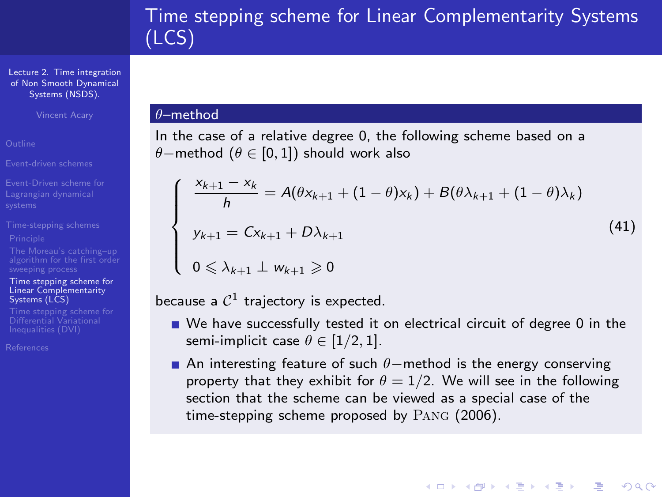[Lecture 2. Time integration](#page-0-0) of Non Smooth Dynamical Systems (NSDS).

Vincent Acary

[Event-driven schemes](#page-2-0)

[Event-Driven scheme for](#page-3-0)

[Time stepping scheme for](#page-32-0) Linear Complementarity Systems (LCS)

Differential Variational

<span id="page-35-0"></span>[References](#page-46-0)

#### θ–method

In the case of a relative degree 0, the following scheme based on a θ−method ( $\theta \in [0, 1]$ ) should work also

$$
\begin{cases}\n\frac{x_{k+1} - x_k}{h} = A(\theta x_{k+1} + (1 - \theta)x_k) + B(\theta \lambda_{k+1} + (1 - \theta)\lambda_k) \\
y_{k+1} = Cx_{k+1} + D\lambda_{k+1} \\
0 \le \lambda_{k+1} \perp w_{k+1} \ge 0\n\end{cases}
$$
\n(41)

$$
0\leqslant\lambda_{k+1}\perp w_{k+1}\geqslant 0
$$

because a  $\mathcal{C}^1$  trajectory is expected.

- We have successfully tested it on electrical circuit of degree 0 in the semi-implicit case  $\theta \in [1/2, 1]$ .
- **■** An interesting feature of such  $\theta$ -method is the energy conserving property that they exhibit for  $\theta = 1/2$ . We will see in the following section that the scheme can be viewed as a special case of the time-stepping scheme proposed by Pang (2006).

**YO A REAGE YOU ARE YOU ARE YOU ARE STOLEN.**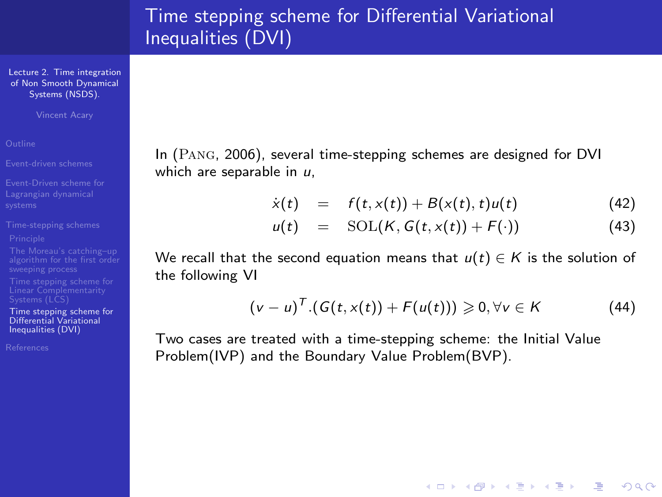# Time stepping scheme for Differential Variational Inequalities (DVI)

[Lecture 2. Time integration](#page-0-0) of Non Smooth Dynamical Systems (NSDS).

Vincent Acary

[Time stepping scheme for](#page-36-0) Differential Variational Inequalities (DVI)

<span id="page-36-0"></span>[References](#page-46-0)

In (Pang, 2006), several time-stepping schemes are designed for DVI which are separable in  $u$ .

$$
\dot{x}(t) = f(t, x(t)) + B(x(t), t)u(t) \tag{42}
$$

$$
u(t) = \text{SOL}(K, G(t, x(t)) + F(\cdot)) \tag{43}
$$

We recall that the second equation means that  $u(t) \in K$  is the solution of the following VI

$$
(v-u)^{T}.(G(t,x(t))+F(u(t)))\geqslant 0,\forall v\in K
$$
 (44)

**YO A REAGE YOU ARE YOU ARE YOU ARE STOLEN.** 

Two cases are treated with a time-stepping scheme: the Initial Value Problem(IVP) and the Boundary Value Problem(BVP).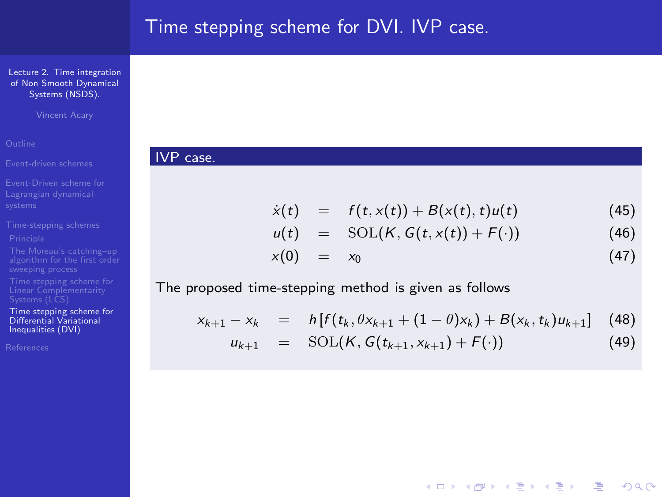# Time stepping scheme for DVI. IVP case.

[Lecture 2. Time integration](#page-0-0) of Non Smooth Dynamical Systems (NSDS).

Vincent Acary

[Time stepping scheme for](#page-36-0) Differential Variational Inequalities (DVI)

<span id="page-37-0"></span>[References](#page-46-0)

### IVP case.

$$
\dot{x}(t) = f(t, x(t)) + B(x(t), t)u(t) \tag{45}
$$

$$
u(t) = \text{SOL}(K, G(t, x(t)) + F(\cdot)) \tag{46}
$$

$$
x(0) = x_0 \tag{47}
$$

**YO A RELATE YOUR** 

#### The proposed time-stepping method is given as follows

$$
x_{k+1} - x_k = h[f(t_k, \theta x_{k+1} + (1-\theta)x_k) + B(x_k, t_k)u_{k+1}] \quad (48)
$$

$$
u_{k+1} = \text{SOL}(K, G(t_{k+1}, x_{k+1}) + F(\cdot)) \tag{49}
$$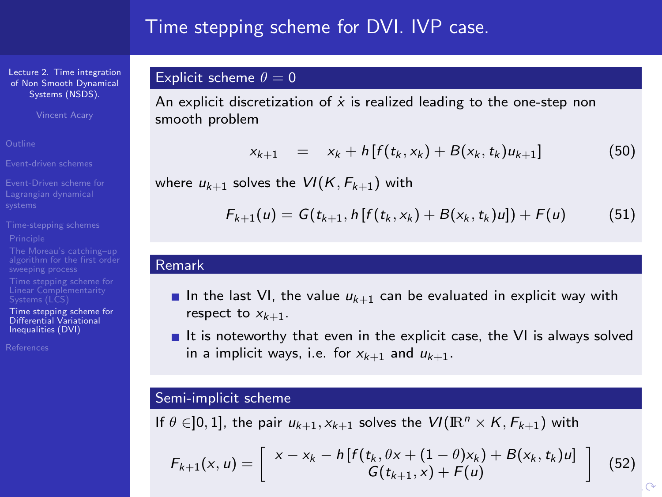## Time stepping scheme for DVI. IVP case.

[Lecture 2. Time integration](#page-0-0) of Non Smooth Dynamical Systems (NSDS).

Vincent Acary

[Event-driven schemes](#page-2-0)

[Event-Driven scheme for](#page-3-0)

[Time stepping scheme for](#page-36-0) Differential Variational Inequalities (DVI)

<span id="page-38-0"></span>[References](#page-46-0)

## Explicit scheme  $\theta = 0$

An explicit discretization of  $\dot{x}$  is realized leading to the one-step non smooth problem

$$
x_{k+1} = x_k + h[f(t_k, x_k) + B(x_k, t_k)u_{k+1}] \tag{50}
$$

where  $u_{k+1}$  solves the  $VI(K, F_{k+1})$  with

$$
F_{k+1}(u) = G(t_{k+1}, h[f(t_k, x_k) + B(x_k, t_k)u]) + F(u)
$$
 (51)

#### Remark

- In the last VI, the value  $u_{k+1}$  can be evaluated in explicit way with respect to  $x_{k+1}$ .
- $\blacksquare$  It is noteworthy that even in the explicit case, the VI is always solved in a implicit ways, i.e. for  $x_{k+1}$  and  $u_{k+1}$ .

#### Semi-implicit scheme

<span id="page-38-1"></span>If  $\theta \in ]0,1]$ , the pair  $u_{k+1}, x_{k+1}$  solves the  $VI(\mathbb{R}^n \times K, F_{k+1})$  with

$$
F_{k+1}(x, u) = \begin{bmatrix} x - x_k - h[f(t_k, \theta x + (1 - \theta)x_k) + B(x_k, t_k)u] \\ G(t_{k+1}, x) + F(u) \end{bmatrix}
$$
(52)

 $\sim$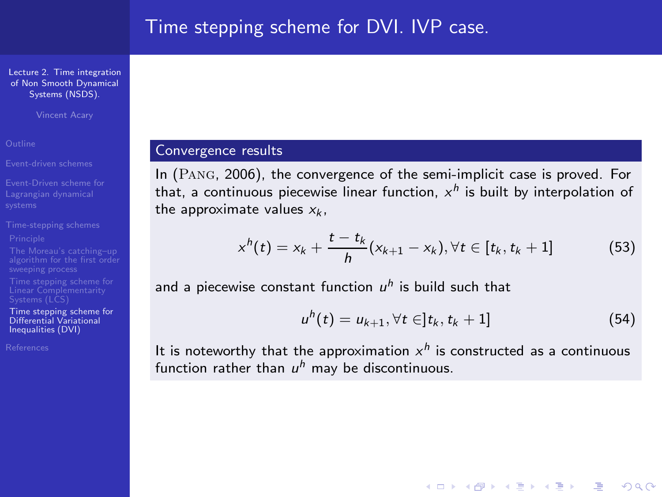Vincent Acary

[Event-driven schemes](#page-2-0)

[Time stepping scheme for](#page-36-0) Differential Variational Inequalities (DVI)

<span id="page-39-0"></span>[References](#page-46-0)

### Convergence results

In (Pang, 2006), the convergence of the semi-implicit case is proved. For that, a continuous piecewise linear function,  $x^{\mathsf{h}}$  is built by interpolation of the approximate values  $x_k$ .

$$
x^{h}(t) = x_{k} + \frac{t - t_{k}}{h}(x_{k+1} - x_{k}), \forall t \in [t_{k}, t_{k} + 1]
$$
 (53)

and a piecewise constant function  $u^h$  is build such that

$$
u^{h}(t) = u_{k+1}, \forall t \in ]t_{k}, t_{k} + 1]
$$
\n(54)

**YO A REAGE YOU ARE YOU ARE YOU ARE STOLEN.** 

It is noteworthy that the approximation  $x^h$  is constructed as a continuous function rather than  $u^h$  may be discontinuous.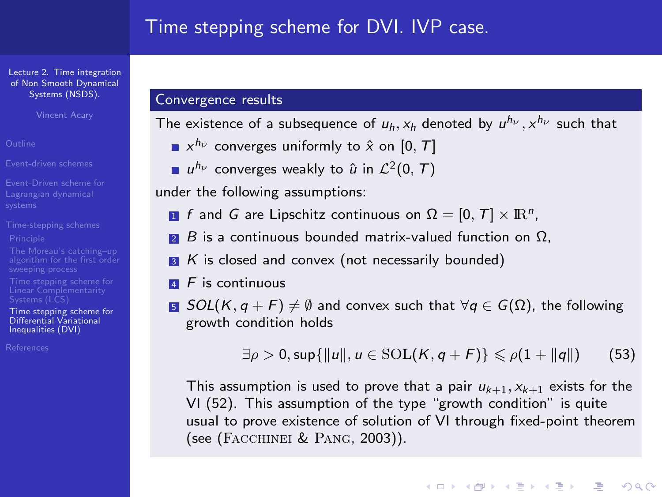Vincent Acary

[Event-driven schemes](#page-2-0)

[Event-Driven scheme for](#page-3-0)

[Time stepping scheme for](#page-36-0) Differential Variational Inequalities (DVI)

[References](#page-46-0)

### Convergence results

The existence of a subsequence of  $u_h$ ,  $x_h$  denoted by  $u^{h_\nu}$ ,  $x^{h_\nu}$  such that

- $x^{h_{\nu}}$  converges uniformly to  $\hat{x}$  on  $[0,\,T]$
- $u^{h_{\nu}}$  converges weakly to  $\hat{u}$  in  $\mathcal{L}^2(0,\,T)$

under the following assumptions:

- $\blacksquare$  f and G are Lipschitz continuous on  $\Omega = [0,\, T] \times \mathbb{R}^n$ ,
- $\blacksquare$  B is a continuous bounded matrix-valued function on  $\Omega$ .
- $\overline{\mathbf{3}}$  K is closed and convex (not necessarily bounded)
- $\overline{4}$  F is continuous
- **5** SOL(K, q + F)  $\neq$  Ø and convex such that ∀q  $\in$  G(Ω), the following growth condition holds

 $\exists \rho > 0$ , sup $\{\|u\|, u \in \text{SOL}(K, q + F)\} \leq \rho(1 + \|q\|)$  (53)

This assumption is used to prove that a pair  $u_{k+1}$ ,  $x_{k+1}$  exists for the VI [\(52\)](#page-38-1). This assumption of the type "growth condition" is quite usual to prove existence of solution of VI through fixed-point theorem (see (Facchinei & Pang, 2003)).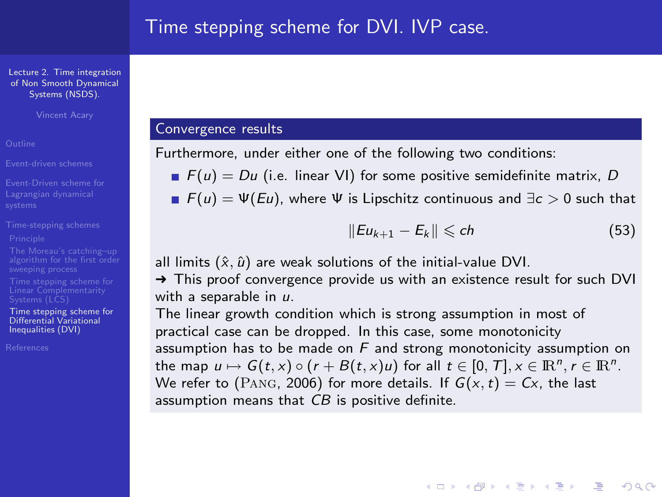Vincent Acary

[Event-driven schemes](#page-2-0)

[Time stepping scheme for](#page-36-0) Differential Variational Inequalities (DVI)

[References](#page-46-0)

## Convergence results

Furthermore, under either one of the following two conditions:

 $F(u) = Du$  (i.e. linear VI) for some positive semidefinite matrix, D

**F**(u) =  $\Psi$ (Eu), where  $\Psi$  is Lipschitz continuous and  $\exists c > 0$  such that

$$
||Eu_{k+1}-E_k||\leqslant ch \qquad (53)
$$

**ADD 4 REPAIR AND A COA** 

all limits  $(\hat{x}, \hat{u})$  are weak solutions of the initial-value DVI.

→ This proof convergence provide us with an existence result for such DVI with a separable in  $\mu$ .

The linear growth condition which is strong assumption in most of practical case can be dropped. In this case, some monotonicity assumption has to be made on  $F$  and strong monotonicity assumption on the map  $u \mapsto G(t, x) \circ (r + B(t, x)u)$  for all  $t \in [0, T], x \in \mathbb{R}^n$ ,  $r \in \mathbb{R}^n$ . We refer to (PANG, 2006) for more details. If  $G(x, t) = Cx$ , the last assumption means that CB is positive definite.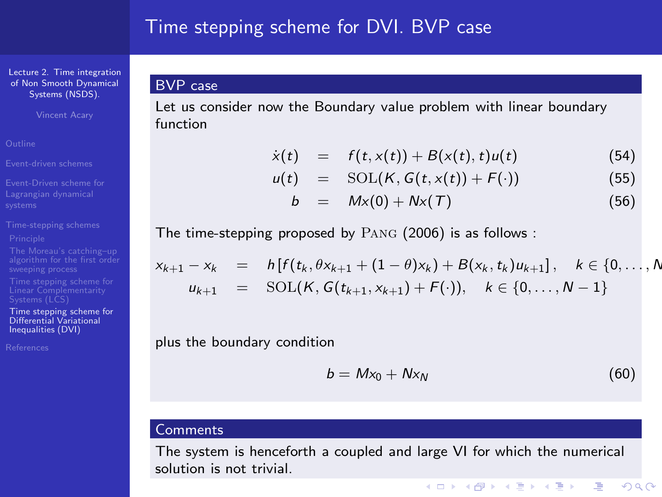## Time stepping scheme for DVI. BVP case

[Lecture 2. Time integration](#page-0-0) of Non Smooth Dynamical Systems (NSDS).

Vincent Acary

[Event-driven schemes](#page-2-0)

[Time stepping scheme for](#page-36-0) Differential Variational Inequalities (DVI)

[References](#page-46-0)

Let us consider now the Boundary value problem with linear boundary function

$$
\dot{x}(t) = f(t,x(t)) + B(x(t),t)u(t) \tag{54}
$$

$$
u(t) = \text{SOL}(K, G(t, x(t)) + F(\cdot)) \tag{55}
$$

$$
b = Mx(0) + Nx(T) \qquad (56)
$$

The time-stepping proposed by Pang (2006) is as follows :

$$
x_{k+1} - x_k = h[f(t_k, \theta x_{k+1} + (1-\theta)x_k) + B(x_k, t_k)u_{k+1}], \quad k \in \{0, ..., N
$$
  

$$
u_{k+1} = \text{SOL}(K, G(t_{k+1}, x_{k+1}) + F(\cdot)), \quad k \in \{0, ..., N-1\}
$$

plus the boundary condition

$$
b = Mx_0 + Nx_N \tag{60}
$$

 $\left\{ \begin{array}{ccc} \square & \rightarrow & \left\{ \bigoplus \bullet & \leftarrow \Xi \right\} & \leftarrow \Xi \end{array} \right.$ 

**GRAN**  $QQ$ 

#### Comments

BVP case

The system is henceforth a coupled and large VI for which the numerical solution is not trivial.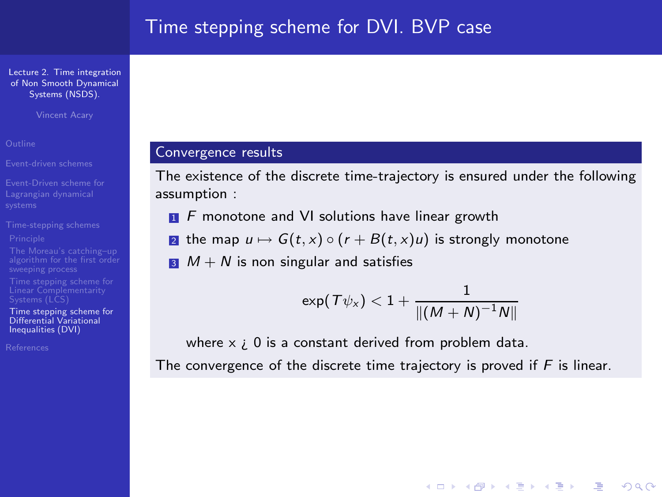Vincent Acary

[Time stepping scheme for](#page-36-0) Differential Variational Inequalities (DVI)

[References](#page-46-0)

## Convergence results

The existence of the discrete time-trajectory is ensured under the following assumption :

 $\blacksquare$  F monotone and VI solutions have linear growth

**2** the map  $u \mapsto G(t, x) \circ (r + B(t, x)u)$  is strongly monotone

 $\blacksquare$   $M + N$  is non singular and satisfies

$$
\textsf{exp}(\,\mathcal{T}\psi_{\mathsf{x}})<1+\frac{1}{\|(M+N)^{-1}N\|}
$$

**YO A REAGE YOU ARE YOU ARE YOU ARE STOLEN.** 

where  $x \neq 0$  is a constant derived from problem data. The convergence of the discrete time trajectory is proved if  $F$  is linear.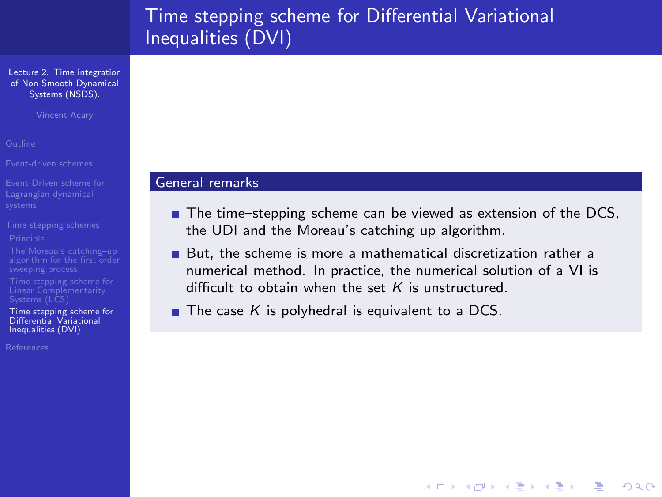# Time stepping scheme for Differential Variational Inequalities (DVI)

[Lecture 2. Time integration](#page-0-0) of Non Smooth Dynamical Systems (NSDS).

Vincent Acary

[Event-driven schemes](#page-2-0)

[Time stepping scheme for](#page-36-0) Differential Variational Inequalities (DVI)

<span id="page-44-0"></span>[References](#page-46-0)

#### General remarks

■ The time–stepping scheme can be viewed as extension of the DCS, the UDI and the Moreau's catching up algorithm.

**YO A RELATE YOUR** 

- But, the scheme is more a mathematical discretization rather a numerical method. In practice, the numerical solution of a VI is difficult to obtain when the set  $K$  is unstructured.
- The case K is polyhedral is equivalent to a DCS.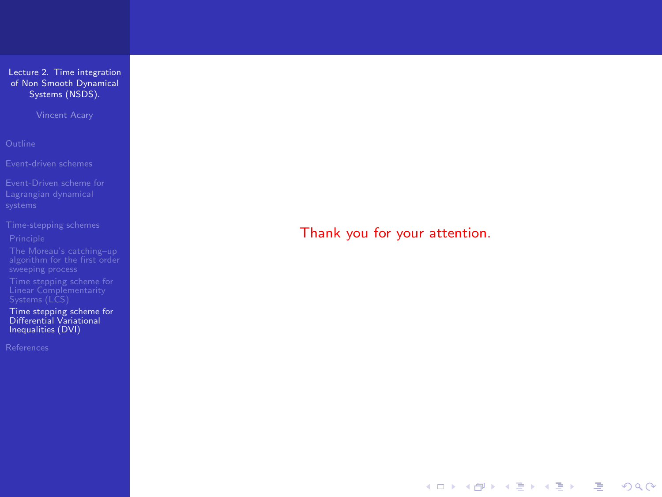Vincent Acary

[algorithm for the first order](#page-27-0)

[Time stepping scheme for](#page-36-0) Differential Variational Inequalities (DVI)

<span id="page-45-0"></span>

Thank you for your attention.

イロト イ母 トイミト イミト・(型) のべの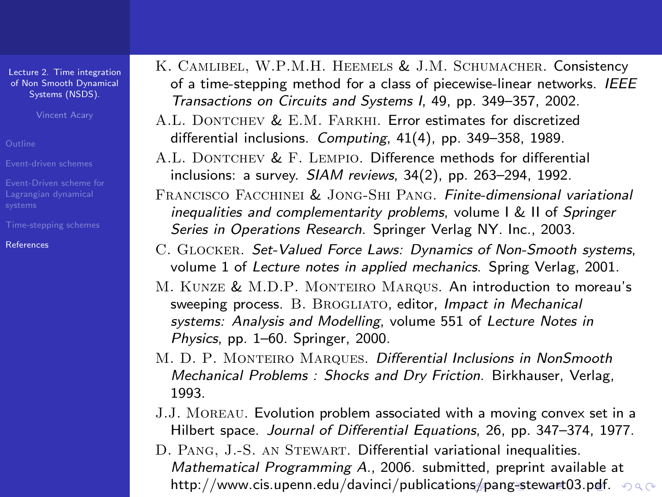Vincent Acary

<span id="page-46-0"></span>[References](#page-46-0)

- K. Camlibel, W.P.M.H. Heemels & J.M. Schumacher. Consistency of a time-stepping method for a class of piecewise-linear networks. IEEE Transactions on Circuits and Systems I, 49, pp. 349–357, 2002.
- A.L. DONTCHEV & E.M. FARKHI. Error estimates for discretized differential inclusions. Computing, 41(4), pp. 349–358, 1989.
- A.L. DONTCHEV  $\&$  F. LEMPIO. Difference methods for differential inclusions: a survey. SIAM reviews, 34(2), pp. 263–294, 1992.
- Francisco Facchinei & Jong-Shi Pang. Finite-dimensional variational inequalities and complementarity problems, volume I & II of Springer Series in Operations Research. Springer Verlag NY. Inc., 2003.
- C. Glocker. Set-Valued Force Laws: Dynamics of Non-Smooth systems, volume 1 of Lecture notes in applied mechanics. Spring Verlag, 2001.
- M. KUNZE & M.D.P. MONTEIRO MAROUS. An introduction to moreau's sweeping process. B. BROGLIATO, editor, Impact in Mechanical systems: Analysis and Modelling, volume 551 of Lecture Notes in Physics, pp. 1–60. Springer, 2000.
- M. D. P. MONTEIRO MARQUES. Differential Inclusions in NonSmooth Mechanical Problems : Shocks and Dry Friction. Birkhauser, Verlag, 1993.
- J.J. Moreau. Evolution problem associated with a moving convex set in a Hilbert space. Journal of Differential Equations, 26, pp. 347–374, 1977.
- D. PANG, J.-S. AN STEWART. Differential variational inequalities. Mathematical Programming A., 2006. submitted, preprint available at http://www.cis.upenn.edu/davinci/pu[blic](#page-45-0)a[tio](#page-47-0)[n](#page-35-0)[s/p](#page-45-0)[a](#page-46-0)n[g-](#page-36-0)[ste](#page-47-0)[w](#page-25-0)[ar](#page-26-0)[t03](#page-47-0)[.p](#page-0-0)[df.](#page-47-0)  $\Diamond \Diamond \Diamond$